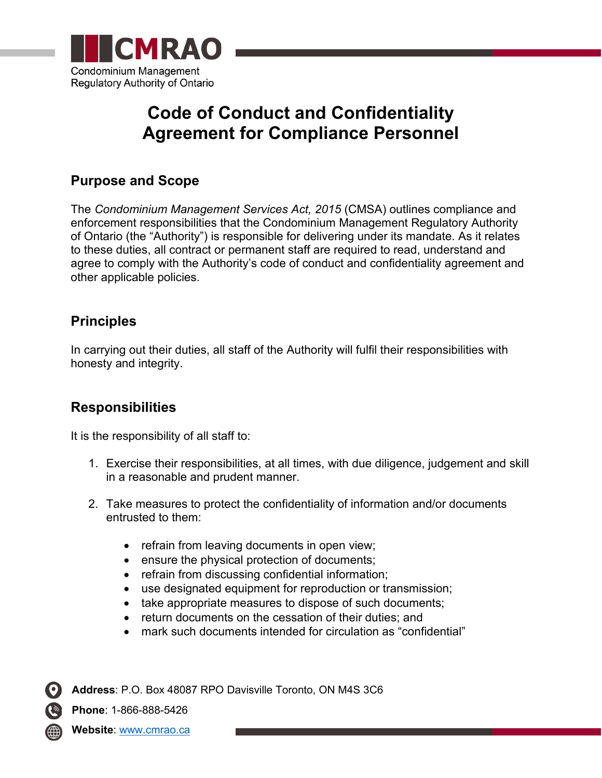

## **Code of Conduct and Confidentiality Agreement for Compliance Personnel**

## **Purpose and Scope**

The *Condominium Management Services Act, 2015* (CMSA) outlines compliance and enforcement responsibilities that the Condominium Management Regulatory Authority of Ontario (the "Authority") is responsible for delivering under its mandate. As it relates to these duties, all contract or permanent staff are required to read, understand and agree to comply with the Authority's code of conduct and confidentiality agreement and other applicable policies.

## **Principles**

In carrying out their duties, all staff of the Authority will fulfil their responsibilities with honesty and integrity.

## **Responsibilities**

It is the responsibility of all staff to:

- 1. Exercise their responsibilities, at all times, with due diligence, judgement and skill in a reasonable and prudent manner.
- 2. Take measures to protect the confidentiality of information and/or documents entrusted to them:
	- refrain from leaving documents in open view;
	- ensure the physical protection of documents;
	- refrain from discussing confidential information;
	- use designated equipment for reproduction or transmission;
	- take appropriate measures to dispose of such documents;
	- return documents on the cessation of their duties; and
	- mark such documents intended for circulation as "confidential"